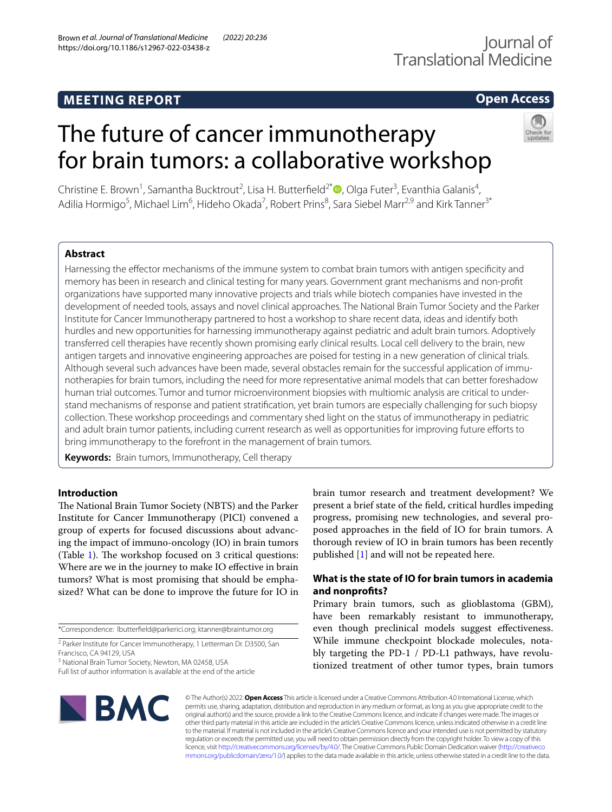# **MEETING REPORT**

## **Open Access**

# The future of cancer immunotherapy for brain tumors: a collaborative workshop



Christine E. Brown<sup>1</sup>, Samantha Bucktrout<sup>2</sup>, Lisa H. Butterfield<sup>2[\\*](http://orcid.org/0000-0002-3439-9844)</sup> (D, Olga Futer<sup>3</sup>, Evanthia Galanis<sup>4</sup>, Adilia Hormigo<sup>5</sup>, Michael Lim<sup>6</sup>, Hideho Okada<sup>7</sup>, Robert Prins<sup>8</sup>, Sara Siebel Marr<sup>2,9</sup> and Kirk Tanner<sup>3\*</sup>

## **Abstract**

Harnessing the efector mechanisms of the immune system to combat brain tumors with antigen specifcity and memory has been in research and clinical testing for many years. Government grant mechanisms and non-proft organizations have supported many innovative projects and trials while biotech companies have invested in the development of needed tools, assays and novel clinical approaches. The National Brain Tumor Society and the Parker Institute for Cancer Immunotherapy partnered to host a workshop to share recent data, ideas and identify both hurdles and new opportunities for harnessing immunotherapy against pediatric and adult brain tumors. Adoptively transferred cell therapies have recently shown promising early clinical results. Local cell delivery to the brain, new antigen targets and innovative engineering approaches are poised for testing in a new generation of clinical trials. Although several such advances have been made, several obstacles remain for the successful application of immunotherapies for brain tumors, including the need for more representative animal models that can better foreshadow human trial outcomes. Tumor and tumor microenvironment biopsies with multiomic analysis are critical to understand mechanisms of response and patient stratifcation, yet brain tumors are especially challenging for such biopsy collection. These workshop proceedings and commentary shed light on the status of immunotherapy in pediatric and adult brain tumor patients, including current research as well as opportunities for improving future efforts to bring immunotherapy to the forefront in the management of brain tumors.

**Keywords:** Brain tumors, Immunotherapy, Cell therapy

## **Introduction**

The National Brain Tumor Society (NBTS) and the Parker Institute for Cancer Immunotherapy (PICI) convened a group of experts for focused discussions about advancing the impact of immuno-oncology (IO) in brain tumors (Table [1](#page-1-0)). The workshop focused on  $3$  critical questions: Where are we in the journey to make IO efective in brain tumors? What is most promising that should be emphasized? What can be done to improve the future for IO in

\*Correspondence: lbutterfeld@parkerici.org; ktanner@braintumor.org

<sup>3</sup> National Brain Tumor Society, Newton, MA 02458, USA

brain tumor research and treatment development? We present a brief state of the feld, critical hurdles impeding progress, promising new technologies, and several proposed approaches in the feld of IO for brain tumors. A thorough review of IO in brain tumors has been recently published [\[1](#page-10-0)] and will not be repeated here.

## **What is the state of IO for brain tumors in academia and nonprofts?**

Primary brain tumors, such as glioblastoma (GBM), have been remarkably resistant to immunotherapy, even though preclinical models suggest efectiveness. While immune checkpoint blockade molecules, notably targeting the PD-1 / PD-L1 pathways, have revolutionized treatment of other tumor types, brain tumors



© The Author(s) 2022. **Open Access** This article is licensed under a Creative Commons Attribution 4.0 International License, which permits use, sharing, adaptation, distribution and reproduction in any medium or format, as long as you give appropriate credit to the original author(s) and the source, provide a link to the Creative Commons licence, and indicate if changes were made. The images or other third party material in this article are included in the article's Creative Commons licence, unless indicated otherwise in a credit line to the material. If material is not included in the article's Creative Commons licence and your intended use is not permitted by statutory regulation or exceeds the permitted use, you will need to obtain permission directly from the copyright holder. To view a copy of this licence, visit [http://creativecommons.org/licenses/by/4.0/.](http://creativecommons.org/licenses/by/4.0/) The Creative Commons Public Domain Dedication waiver ([http://creativeco](http://creativecommons.org/publicdomain/zero/1.0/) [mmons.org/publicdomain/zero/1.0/](http://creativecommons.org/publicdomain/zero/1.0/)) applies to the data made available in this article, unless otherwise stated in a credit line to the data.

<sup>&</sup>lt;sup>2</sup> Parker Institute for Cancer Immunotherapy, 1 Letterman Dr. D3500, San Francisco, CA 94129, USA

Full list of author information is available at the end of the article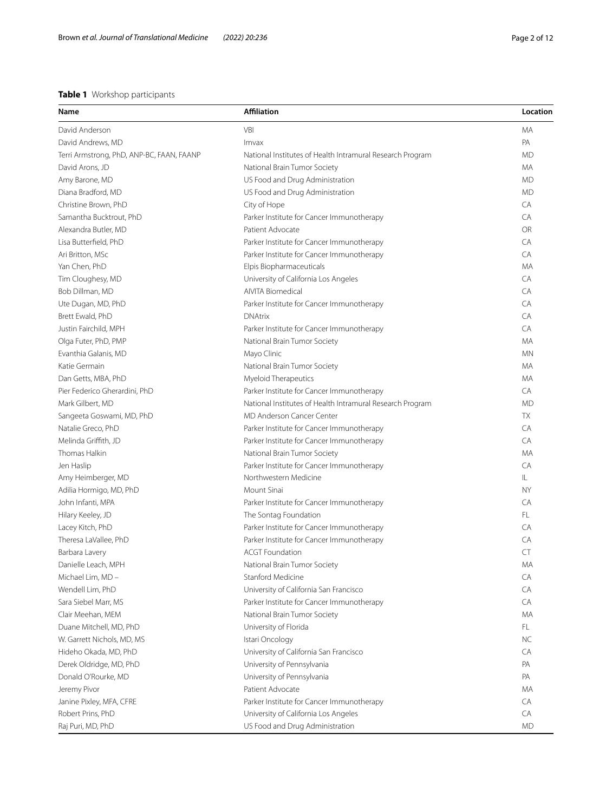## <span id="page-1-0"></span>**Table 1** Workshop participants

| Name                                      | <b>Affiliation</b>                                        | Location  |
|-------------------------------------------|-----------------------------------------------------------|-----------|
| David Anderson                            | VBI                                                       | МA        |
| David Andrews, MD                         | Imvax                                                     | PA        |
| Terri Armstrong, PhD, ANP-BC, FAAN, FAANP | National Institutes of Health Intramural Research Program | <b>MD</b> |
| David Arons, JD                           | National Brain Tumor Society                              | MA        |
| Amy Barone, MD                            | US Food and Drug Administration                           | <b>MD</b> |
| Diana Bradford, MD                        | US Food and Drug Administration                           | <b>MD</b> |
| Christine Brown, PhD                      | City of Hope                                              | CA        |
| Samantha Bucktrout, PhD                   | Parker Institute for Cancer Immunotherapy                 | CA        |
| Alexandra Butler, MD                      | Patient Advocate                                          | OR        |
| Lisa Butterfield, PhD                     | Parker Institute for Cancer Immunotherapy                 | CA        |
| Ari Britton, MSc                          | Parker Institute for Cancer Immunotherapy                 | CA        |
| Yan Chen, PhD                             | Elpis Biopharmaceuticals                                  | МA        |
| Tim Cloughesy, MD                         | University of California Los Angeles                      | CA        |
| Bob Dillman, MD                           | AIVITA Biomedical                                         | CA        |
| Ute Dugan, MD, PhD                        | Parker Institute for Cancer Immunotherapy                 | CA        |
| Brett Ewald, PhD                          | <b>DNAtrix</b>                                            | CA        |
| Justin Fairchild, MPH                     | Parker Institute for Cancer Immunotherapy                 | CA        |
| Olga Futer, PhD, PMP                      | National Brain Tumor Society                              | МA        |
| Evanthia Galanis, MD                      | Mayo Clinic                                               | <b>MN</b> |
| Katie Germain                             | National Brain Tumor Society                              | MA        |
| Dan Getts, MBA, PhD                       | Myeloid Therapeutics                                      | MA        |
| Pier Federico Gherardini, PhD             | Parker Institute for Cancer Immunotherapy                 | CA        |
| Mark Gilbert, MD                          | National Institutes of Health Intramural Research Program | <b>MD</b> |
| Sangeeta Goswami, MD, PhD                 | <b>MD Anderson Cancer Center</b>                          | <b>TX</b> |
| Natalie Greco, PhD                        | Parker Institute for Cancer Immunotherapy                 | CA        |
| Melinda Griffith, JD                      | Parker Institute for Cancer Immunotherapy                 | CA        |
| Thomas Halkin                             | National Brain Tumor Society                              | МA        |
| Jen Haslip                                | Parker Institute for Cancer Immunotherapy                 | CA        |
| Amy Heimberger, MD                        | Northwestern Medicine                                     | IL.       |
| Adilia Hormigo, MD, PhD                   | Mount Sinai                                               | <b>NY</b> |
| John Infanti, MPA                         | Parker Institute for Cancer Immunotherapy                 | CA        |
| Hilary Keeley, JD                         | The Sontag Foundation                                     | FL        |
| Lacey Kitch, PhD                          | Parker Institute for Cancer Immunotherapy                 | CA        |
| Theresa LaVallee, PhD                     | Parker Institute for Cancer Immunotherapy                 | CA        |
| Barbara Lavery                            | <b>ACGT Foundation</b>                                    | CT        |
| Danielle Leach, MPH                       | National Brain Tumor Society                              | MA        |
| Michael Lim, MD -                         | Stanford Medicine                                         | CA        |
| Wendell Lim, PhD                          | University of California San Francisco                    | CA        |
| Sara Siebel Marr, MS                      | Parker Institute for Cancer Immunotherapy                 | CA        |
| Clair Meehan, MEM                         | National Brain Tumor Society                              | МA        |
| Duane Mitchell, MD, PhD                   | University of Florida                                     | FL.       |
| W. Garrett Nichols, MD, MS                | Istari Oncology                                           | NC.       |
| Hideho Okada, MD, PhD                     | University of California San Francisco                    | CA        |
| Derek Oldridge, MD, PhD                   | University of Pennsylvania                                | PA        |
| Donald O'Rourke, MD                       | University of Pennsylvania                                | PA        |
| Jeremy Pivor                              | Patient Advocate                                          | МA        |
| Janine Pixley, MFA, CFRE                  | Parker Institute for Cancer Immunotherapy                 | CA        |
| Robert Prins, PhD                         | University of California Los Angeles                      | CA        |
|                                           |                                                           |           |
| Raj Puri, MD, PhD                         | US Food and Drug Administration                           | <b>MD</b> |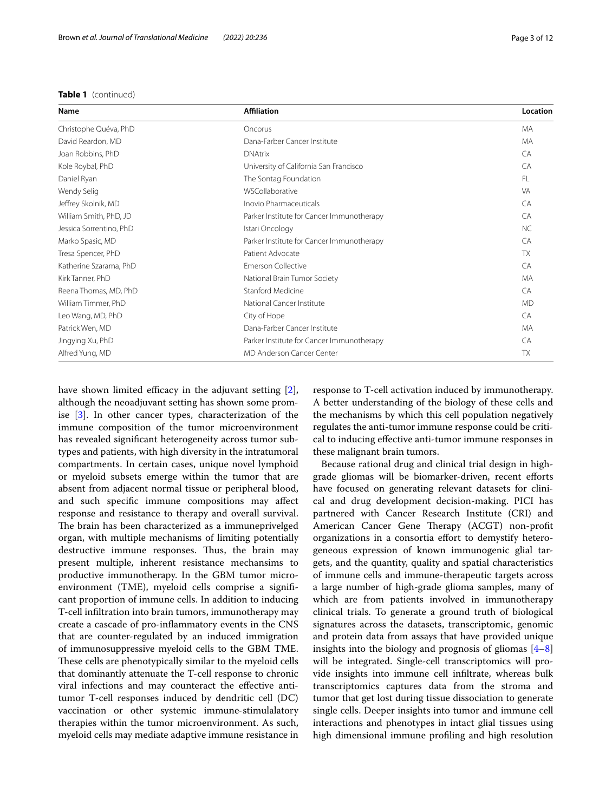## **Table 1** (continued)

| Name                    | <b>Affiliation</b>                        | Location  |
|-------------------------|-------------------------------------------|-----------|
| Christophe Quéva, PhD   | Oncorus                                   | MA        |
| David Reardon, MD       | Dana-Farber Cancer Institute              | MA        |
| Joan Robbins, PhD       | <b>DNAtrix</b>                            | CA        |
| Kole Roybal, PhD        | University of California San Francisco    | CA        |
| Daniel Ryan             | The Sontag Foundation                     | FL        |
| Wendy Selig             | WSCollaborative                           | <b>VA</b> |
| Jeffrey Skolnik, MD     | Inovio Pharmaceuticals                    | CA        |
| William Smith, PhD, JD  | Parker Institute for Cancer Immunotherapy | CA        |
| Jessica Sorrentino, PhD | Istari Oncology                           | <b>NC</b> |
| Marko Spasic, MD        | Parker Institute for Cancer Immunotherapy | CA        |
| Tresa Spencer, PhD      | Patient Advocate                          | <b>TX</b> |
| Katherine Szarama, PhD  | <b>Emerson Collective</b>                 | CA        |
| Kirk Tanner, PhD        | National Brain Tumor Society              | MA        |
| Reena Thomas, MD, PhD   | Stanford Medicine                         | CA        |
| William Timmer, PhD     | National Cancer Institute                 | <b>MD</b> |
| Leo Wang, MD, PhD       | City of Hope                              | CA        |
| Patrick Wen, MD         | Dana-Farber Cancer Institute              | MA        |
| Jingying Xu, PhD        | Parker Institute for Cancer Immunotherapy | CA        |
| Alfred Yung, MD         | MD Anderson Cancer Center                 | <b>TX</b> |

have shown limited efficacy in the adjuvant setting  $[2]$  $[2]$ , although the neoadjuvant setting has shown some promise [[3\]](#page-10-2). In other cancer types, characterization of the immune composition of the tumor microenvironment has revealed signifcant heterogeneity across tumor subtypes and patients, with high diversity in the intratumoral compartments. In certain cases, unique novel lymphoid or myeloid subsets emerge within the tumor that are absent from adjacent normal tissue or peripheral blood, and such specifc immune compositions may afect response and resistance to therapy and overall survival. The brain has been characterized as a immuneprivelged organ, with multiple mechanisms of limiting potentially destructive immune responses. Thus, the brain may present multiple, inherent resistance mechansims to productive immunotherapy. In the GBM tumor microenvironment (TME), myeloid cells comprise a signifcant proportion of immune cells. In addition to inducing T-cell infltration into brain tumors, immunotherapy may create a cascade of pro-infammatory events in the CNS that are counter-regulated by an induced immigration of immunosuppressive myeloid cells to the GBM TME. These cells are phenotypically similar to the myeloid cells that dominantly attenuate the T-cell response to chronic viral infections and may counteract the efective antitumor T-cell responses induced by dendritic cell (DC) vaccination or other systemic immune-stimulalatory therapies within the tumor microenvironment. As such, myeloid cells may mediate adaptive immune resistance in response to T-cell activation induced by immunotherapy. A better understanding of the biology of these cells and the mechanisms by which this cell population negatively regulates the anti-tumor immune response could be critical to inducing efective anti-tumor immune responses in these malignant brain tumors.

Because rational drug and clinical trial design in highgrade gliomas will be biomarker-driven, recent eforts have focused on generating relevant datasets for clinical and drug development decision-making. PICI has partnered with Cancer Research Institute (CRI) and American Cancer Gene Therapy (ACGT) non-profit organizations in a consortia effort to demystify heterogeneous expression of known immunogenic glial targets, and the quantity, quality and spatial characteristics of immune cells and immune-therapeutic targets across a large number of high-grade glioma samples, many of which are from patients involved in immunotherapy clinical trials. To generate a ground truth of biological signatures across the datasets, transcriptomic, genomic and protein data from assays that have provided unique insights into the biology and prognosis of gliomas  $[4-8]$  $[4-8]$  $[4-8]$ will be integrated. Single-cell transcriptomics will provide insights into immune cell infltrate, whereas bulk transcriptomics captures data from the stroma and tumor that get lost during tissue dissociation to generate single cells. Deeper insights into tumor and immune cell interactions and phenotypes in intact glial tissues using high dimensional immune profling and high resolution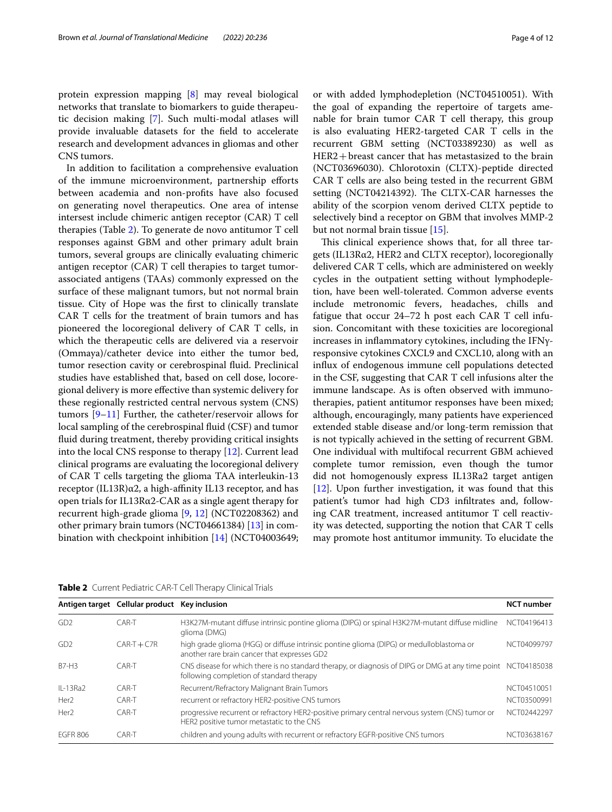protein expression mapping [\[8](#page-11-1)] may reveal biological networks that translate to biomarkers to guide therapeutic decision making [[7](#page-11-2)]. Such multi-modal atlases will provide invaluable datasets for the feld to accelerate research and development advances in gliomas and other CNS tumors.

In addition to facilitation a comprehensive evaluation of the immune microenvironment, partnership eforts between academia and non-profts have also focused on generating novel therapeutics. One area of intense intersest include chimeric antigen receptor (CAR) T cell therapies (Table [2\)](#page-3-0). To generate de novo antitumor T cell responses against GBM and other primary adult brain tumors, several groups are clinically evaluating chimeric antigen receptor (CAR) T cell therapies to target tumorassociated antigens (TAAs) commonly expressed on the surface of these malignant tumors, but not normal brain tissue. City of Hope was the frst to clinically translate CAR T cells for the treatment of brain tumors and has pioneered the locoregional delivery of CAR T cells, in which the therapeutic cells are delivered via a reservoir (Ommaya)/catheter device into either the tumor bed, tumor resection cavity or cerebrospinal fuid. Preclinical studies have established that, based on cell dose, locoregional delivery is more efective than systemic delivery for these regionally restricted central nervous system (CNS) tumors [[9–](#page-11-3)[11\]](#page-11-4) Further, the catheter/reservoir allows for local sampling of the cerebrospinal fuid (CSF) and tumor fuid during treatment, thereby providing critical insights into the local CNS response to therapy [\[12\]](#page-11-5). Current lead clinical programs are evaluating the locoregional delivery of CAR T cells targeting the glioma TAA interleukin-13 receptor  $(IL13R)\alpha2$ , a high-affinity IL13 receptor, and has open trials for IL13Rα2-CAR as a single agent therapy for recurrent high-grade glioma [[9](#page-11-3), [12](#page-11-5)] (NCT02208362) and other primary brain tumors (NCT04661384) [[13\]](#page-11-6) in combination with checkpoint inhibition [[14\]](#page-11-7) (NCT04003649; or with added lymphodepletion (NCT04510051). With the goal of expanding the repertoire of targets amenable for brain tumor CAR T cell therapy, this group is also evaluating HER2-targeted CAR T cells in the recurrent GBM setting (NCT03389230) as well as HER2+breast cancer that has metastasized to the brain (NCT03696030). Chlorotoxin (CLTX)-peptide directed CAR T cells are also being tested in the recurrent GBM setting (NCT04214392). The CLTX-CAR harnesses the ability of the scorpion venom derived CLTX peptide to selectively bind a receptor on GBM that involves MMP-2 but not normal brain tissue [\[15](#page-11-8)].

This clinical experience shows that, for all three targets (IL13Rα2, HER2 and CLTX receptor), locoregionally delivered CAR T cells, which are administered on weekly cycles in the outpatient setting without lymphodepletion, have been well-tolerated. Common adverse events include metronomic fevers, headaches, chills and fatigue that occur 24–72 h post each CAR T cell infusion. Concomitant with these toxicities are locoregional increases in infammatory cytokines, including the IFNγresponsive cytokines CXCL9 and CXCL10, along with an infux of endogenous immune cell populations detected in the CSF, suggesting that CAR T cell infusions alter the immune landscape. As is often observed with immunotherapies, patient antitumor responses have been mixed; although, encouragingly, many patients have experienced extended stable disease and/or long-term remission that is not typically achieved in the setting of recurrent GBM. One individual with multifocal recurrent GBM achieved complete tumor remission, even though the tumor did not homogenously express IL13Ra2 target antigen [[12\]](#page-11-5). Upon further investigation, it was found that this patient's tumor had high CD3 infltrates and, following CAR treatment, increased antitumor T cell reactivity was detected, supporting the notion that CAR T cells may promote host antitumor immunity. To elucidate the

|                  | Antigen target Cellular product Key inclusion |                                                                                                                                                           | <b>NCT</b> number |
|------------------|-----------------------------------------------|-----------------------------------------------------------------------------------------------------------------------------------------------------------|-------------------|
| GD <sub>2</sub>  | $CAR-T$                                       | H3K27M-mutant diffuse intrinsic pontine glioma (DIPG) or spinal H3K27M-mutant diffuse midline<br>glioma (DMG)                                             | NCT04196413       |
| GD <sub>2</sub>  | $CAR-T+C7R$                                   | high grade glioma (HGG) or diffuse intrinsic pontine glioma (DIPG) or medulloblastoma or<br>another rare brain cancer that expresses GD2                  | NCT04099797       |
| B7-H3            | CAR-T                                         | CNS disease for which there is no standard therapy, or diagnosis of DIPG or DMG at any time point NCT04185038<br>following completion of standard therapy |                   |
| $II - 13Ra$      | CAR-T                                         | Recurrent/Refractory Malignant Brain Tumors                                                                                                               | NCT04510051       |
| Her <sub>2</sub> | CAR-T                                         | recurrent or refractory HER2-positive CNS tumors                                                                                                          | NCT03500991       |
| Her <sub>2</sub> | $CAR-T$                                       | progressive recurrent or refractory HER2-positive primary central nervous system (CNS) tumor or<br>HER2 positive tumor metastatic to the CNS              | NCT02442297       |
| <b>FGFR 806</b>  | CAR-T                                         | children and young adults with recurrent or refractory EGFR-positive CNS tumors                                                                           | NCT03638167       |

<span id="page-3-0"></span>**Table 2** Current Pediatric CAR-T Cell Therapy Clinical Trials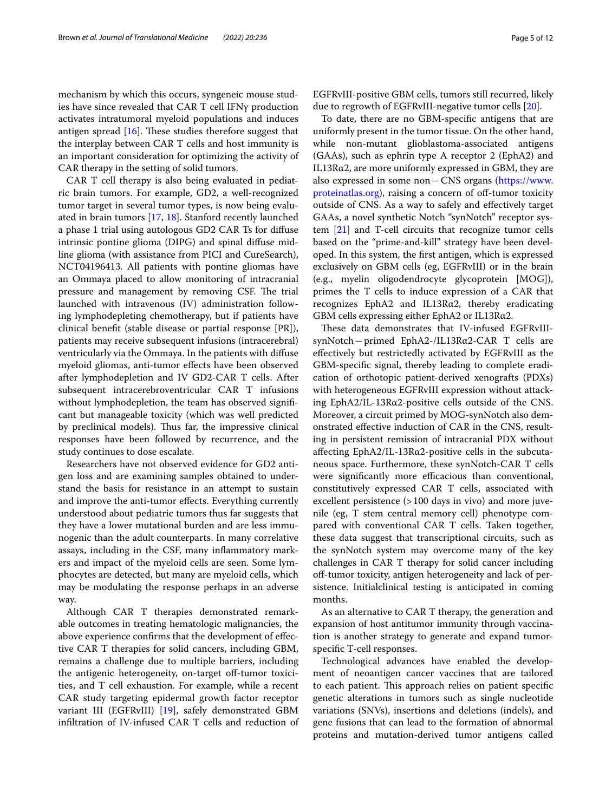mechanism by which this occurs, syngeneic mouse studies have since revealed that CAR T cell IFNγ production activates intratumoral myeloid populations and induces antigen spread  $[16]$  $[16]$  $[16]$ . These studies therefore suggest that the interplay between CAR T cells and host immunity is an important consideration for optimizing the activity of CAR therapy in the setting of solid tumors.

CAR T cell therapy is also being evaluated in pediatric brain tumors. For example, GD2, a well-recognized tumor target in several tumor types, is now being evaluated in brain tumors [\[17,](#page-11-10) [18\]](#page-11-11). Stanford recently launched a phase 1 trial using autologous GD2 CAR Ts for difuse intrinsic pontine glioma (DIPG) and spinal difuse midline glioma (with assistance from PICI and CureSearch), NCT04196413. All patients with pontine gliomas have an Ommaya placed to allow monitoring of intracranial pressure and management by removing CSF. The trial launched with intravenous (IV) administration following lymphodepleting chemotherapy, but if patients have clinical beneft (stable disease or partial response [PR]), patients may receive subsequent infusions (intracerebral) ventricularly via the Ommaya. In the patients with difuse myeloid gliomas, anti-tumor effects have been observed after lymphodepletion and IV GD2-CAR T cells. After subsequent intracerebroventricular CAR T infusions without lymphodepletion, the team has observed significant but manageable toxicity (which was well predicted by preclinical models). Thus far, the impressive clinical responses have been followed by recurrence, and the study continues to dose escalate.

Researchers have not observed evidence for GD2 antigen loss and are examining samples obtained to understand the basis for resistance in an attempt to sustain and improve the anti-tumor effects. Everything currently understood about pediatric tumors thus far suggests that they have a lower mutational burden and are less immunogenic than the adult counterparts. In many correlative assays, including in the CSF, many infammatory markers and impact of the myeloid cells are seen. Some lymphocytes are detected, but many are myeloid cells, which may be modulating the response perhaps in an adverse way.

Although CAR T therapies demonstrated remarkable outcomes in treating hematologic malignancies, the above experience confrms that the development of efective CAR T therapies for solid cancers, including GBM, remains a challenge due to multiple barriers, including the antigenic heterogeneity, on-target off-tumor toxicities, and T cell exhaustion. For example, while a recent CAR study targeting epidermal growth factor receptor variant III (EGFRvIII) [[19](#page-11-12)], safely demonstrated GBM infltration of IV-infused CAR T cells and reduction of EGFRvIII-positive GBM cells, tumors still recurred, likely due to regrowth of EGFRvIII-negative tumor cells [\[20](#page-11-13)].

To date, there are no GBM-specifc antigens that are uniformly present in the tumor tissue. On the other hand, while non-mutant glioblastoma-associated antigens (GAAs), such as ephrin type A receptor 2 (EphA2) and IL13Rα2, are more uniformly expressed in GBM, they are also expressed in some non−CNS organs [\(https://www.](https://www.proteinatlas.org) [proteinatlas.org](https://www.proteinatlas.org)), raising a concern of off-tumor toxicity outside of CNS. As a way to safely and efectively target GAAs, a novel synthetic Notch "synNotch" receptor system [[21\]](#page-11-14) and T-cell circuits that recognize tumor cells based on the "prime-and-kill" strategy have been developed. In this system, the frst antigen, which is expressed exclusively on GBM cells (eg, EGFRvIII) or in the brain (e.g., myelin oligodendrocyte glycoprotein [MOG]), primes the T cells to induce expression of a CAR that recognizes EphA2 and IL13Rα2, thereby eradicating GBM cells expressing either EphA2 or IL13Rα2.

These data demonstrates that IV-infused EGFRvIIIsynNotch−primed EphA2-/IL13Rα2-CAR T cells are efectively but restrictedly activated by EGFRvIII as the GBM-specifc signal, thereby leading to complete eradication of orthotopic patient-derived xenografts (PDXs) with heterogeneous EGFRvIII expression without attacking EphA2/IL-13Rα2-positive cells outside of the CNS. Moreover, a circuit primed by MOG-synNotch also demonstrated efective induction of CAR in the CNS, resulting in persistent remission of intracranial PDX without affecting EphA2/IL-13R $\alpha$ 2-positive cells in the subcutaneous space. Furthermore, these synNotch-CAR T cells were significantly more efficacious than conventional, constitutively expressed CAR T cells, associated with excellent persistence (>100 days in vivo) and more juvenile (eg, T stem central memory cell) phenotype compared with conventional CAR T cells. Taken together, these data suggest that transcriptional circuits, such as the synNotch system may overcome many of the key challenges in CAR T therapy for solid cancer including off-tumor toxicity, antigen heterogeneity and lack of persistence. Initialclinical testing is anticipated in coming months.

As an alternative to CAR T therapy, the generation and expansion of host antitumor immunity through vaccination is another strategy to generate and expand tumorspecifc T-cell responses.

Technological advances have enabled the development of neoantigen cancer vaccines that are tailored to each patient. This approach relies on patient specific genetic alterations in tumors such as single nucleotide variations (SNVs), insertions and deletions (indels), and gene fusions that can lead to the formation of abnormal proteins and mutation-derived tumor antigens called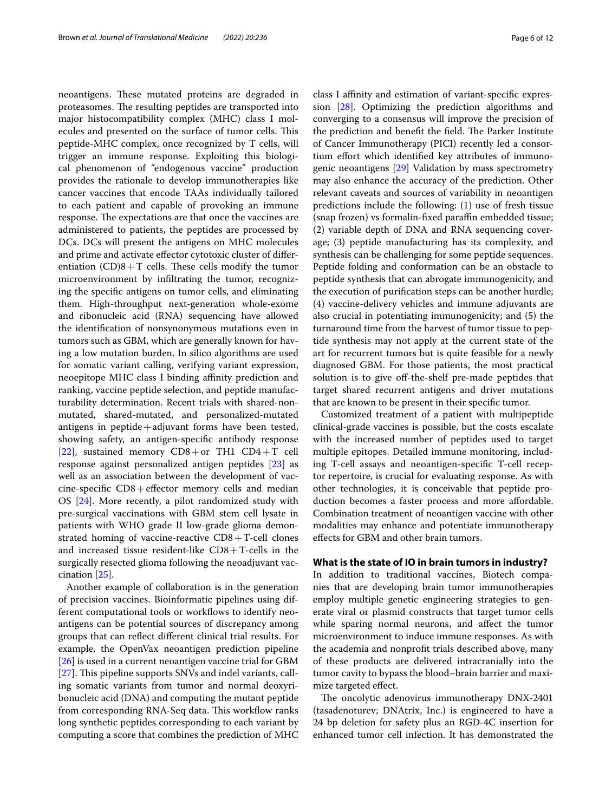neoantigens. These mutated proteins are degraded in proteasomes. The resulting peptides are transported into major histocompatibility complex (MHC) class I molecules and presented on the surface of tumor cells. This peptide-MHC complex, once recognized by T cells, will trigger an immune response. Exploiting this biological phenomenon of "endogenous vaccine" production provides the rationale to develop immunotherapies like cancer vaccines that encode TAAs individually tailored to each patient and capable of provoking an immune response. The expectations are that once the vaccines are administered to patients, the peptides are processed by DCs. DCs will present the antigens on MHC molecules and prime and activate efector cytotoxic cluster of diferentiation  $(CD)8+T$  cells. These cells modify the tumor microenvironment by infltrating the tumor, recognizing the specifc antigens on tumor cells, and eliminating them. High-throughput next-generation whole-exome and ribonucleic acid (RNA) sequencing have allowed the identifcation of nonsynonymous mutations even in tumors such as GBM, which are generally known for having a low mutation burden. In silico algorithms are used for somatic variant calling, verifying variant expression, neoepitope MHC class I binding affinity prediction and ranking, vaccine peptide selection, and peptide manufacturability determination. Recent trials with shared-nonmutated, shared-mutated, and personalized-mutated antigens in  $peptide + adjuvant$  forms have been tested, showing safety, an antigen-specifc antibody response [[22\]](#page-11-15), sustained memory  $CD8+$ or TH1  $CD4+T$  cell response against personalized antigen peptides [[23](#page-11-16)] as well as an association between the development of vaccine-specifc CD8+efector memory cells and median OS [[24\]](#page-11-17). More recently, a pilot randomized study with pre-surgical vaccinations with GBM stem cell lysate in patients with WHO grade II low-grade glioma demonstrated homing of vaccine-reactive  $CD8 + T$ -cell clones and increased tissue resident-like  $CD8 + T$ -cells in the surgically resected glioma following the neoadjuvant vaccination [[25](#page-11-18)].

Another example of collaboration is in the generation of precision vaccines. Bioinformatic pipelines using different computational tools or workflows to identify neoantigens can be potential sources of discrepancy among groups that can refect diferent clinical trial results. For example, the OpenVax neoantigen prediction pipeline [[26\]](#page-11-19) is used in a current neoantigen vaccine trial for GBM [[27\]](#page-11-20). This pipeline supports SNVs and indel variants, calling somatic variants from tumor and normal deoxyribonucleic acid (DNA) and computing the mutant peptide from corresponding RNA-Seq data. This workflow ranks long synthetic peptides corresponding to each variant by computing a score that combines the prediction of MHC class I affinity and estimation of variant-specific expression [\[28\]](#page-11-21). Optimizing the prediction algorithms and converging to a consensus will improve the precision of the prediction and benefit the field. The Parker Institute of Cancer Immunotherapy (PICI) recently led a consortium effort which identified key attributes of immunogenic neoantigens [[29](#page-11-22)] Validation by mass spectrometry may also enhance the accuracy of the prediction. Other relevant caveats and sources of variability in neoantigen predictions include the following: (1) use of fresh tissue (snap frozen) vs formalin-fixed paraffin embedded tissue; (2) variable depth of DNA and RNA sequencing coverage; (3) peptide manufacturing has its complexity, and synthesis can be challenging for some peptide sequences. Peptide folding and conformation can be an obstacle to peptide synthesis that can abrogate immunogenicity, and the execution of purifcation steps can be another hurdle; (4) vaccine-delivery vehicles and immune adjuvants are also crucial in potentiating immunogenicity; and (5) the turnaround time from the harvest of tumor tissue to peptide synthesis may not apply at the current state of the art for recurrent tumors but is quite feasible for a newly diagnosed GBM. For those patients, the most practical solution is to give off-the-shelf pre-made peptides that target shared recurrent antigens and driver mutations that are known to be present in their specifc tumor.

Customized treatment of a patient with multipeptide clinical-grade vaccines is possible, but the costs escalate with the increased number of peptides used to target multiple epitopes. Detailed immune monitoring, including T-cell assays and neoantigen-specifc T-cell receptor repertoire, is crucial for evaluating response. As with other technologies, it is conceivable that peptide production becomes a faster process and more afordable. Combination treatment of neoantigen vaccine with other modalities may enhance and potentiate immunotherapy efects for GBM and other brain tumors.

## **What is the state of IO in brain tumors in industry?**

In addition to traditional vaccines, Biotech companies that are developing brain tumor immunotherapies employ multiple genetic engineering strategies to generate viral or plasmid constructs that target tumor cells while sparing normal neurons, and afect the tumor microenvironment to induce immune responses. As with the academia and nonproft trials described above, many of these products are delivered intracranially into the tumor cavity to bypass the blood–brain barrier and maximize targeted efect.

The oncolytic adenovirus immunotherapy DNX-2401 (tasadenoturev; DNAtrix, Inc.) is engineered to have a 24 bp deletion for safety plus an RGD-4C insertion for enhanced tumor cell infection. It has demonstrated the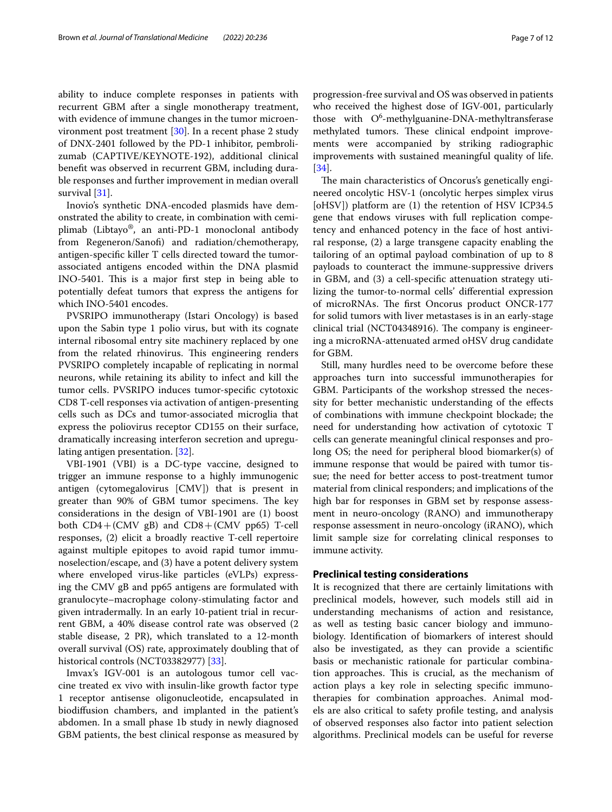ability to induce complete responses in patients with recurrent GBM after a single monotherapy treatment, with evidence of immune changes in the tumor microenvironment post treatment [\[30](#page-11-23)]. In a recent phase 2 study of DNX-2401 followed by the PD-1 inhibitor, pembrolizumab (CAPTIVE/KEYNOTE-192), additional clinical beneft was observed in recurrent GBM, including durable responses and further improvement in median overall survival [\[31](#page-11-24)].

Inovio's synthetic DNA-encoded plasmids have demonstrated the ability to create, in combination with cemiplimab (Libtayo®, an anti-PD-1 monoclonal antibody from Regeneron/Sanof) and radiation/chemotherapy, antigen-specifc killer T cells directed toward the tumorassociated antigens encoded within the DNA plasmid INO-5401. This is a major first step in being able to potentially defeat tumors that express the antigens for which INO-5401 encodes.

PVSRIPO immunotherapy (Istari Oncology) is based upon the Sabin type 1 polio virus, but with its cognate internal ribosomal entry site machinery replaced by one from the related rhinovirus. This engineering renders PVSRIPO completely incapable of replicating in normal neurons, while retaining its ability to infect and kill the tumor cells. PVSRIPO induces tumor-specifc cytotoxic CD8 T-cell responses via activation of antigen-presenting cells such as DCs and tumor-associated microglia that express the poliovirus receptor CD155 on their surface, dramatically increasing interferon secretion and upregulating antigen presentation. [[32\]](#page-11-25).

VBI-1901 (VBI) is a DC-type vaccine, designed to trigger an immune response to a highly immunogenic antigen (cytomegalovirus [CMV]) that is present in greater than 90% of GBM tumor specimens. The key considerations in the design of VBI-1901 are (1) boost both CD4+(CMV gB) and CD8+(CMV pp65) T-cell responses, (2) elicit a broadly reactive T-cell repertoire against multiple epitopes to avoid rapid tumor immunoselection/escape, and (3) have a potent delivery system where enveloped virus-like particles (eVLPs) expressing the CMV gB and pp65 antigens are formulated with granulocyte–macrophage colony-stimulating factor and given intradermally. In an early 10-patient trial in recurrent GBM, a 40% disease control rate was observed (2 stable disease, 2 PR), which translated to a 12-month overall survival (OS) rate, approximately doubling that of historical controls (NCT03382977) [\[33](#page-11-26)].

Imvax's IGV-001 is an autologous tumor cell vaccine treated ex vivo with insulin-like growth factor type 1 receptor antisense oligonucleotide, encapsulated in biodifusion chambers, and implanted in the patient's abdomen. In a small phase 1b study in newly diagnosed GBM patients, the best clinical response as measured by progression-free survival and OS was observed in patients who received the highest dose of IGV-001, particularly those with  $O^6$ -methylguanine-DNA-methyltransferase methylated tumors. These clinical endpoint improvements were accompanied by striking radiographic improvements with sustained meaningful quality of life. [[34\]](#page-11-27).

The main characteristics of Oncorus's genetically engineered oncolytic HSV-1 (oncolytic herpes simplex virus [oHSV]) platform are (1) the retention of HSV ICP34.5 gene that endows viruses with full replication competency and enhanced potency in the face of host antiviral response, (2) a large transgene capacity enabling the tailoring of an optimal payload combination of up to 8 payloads to counteract the immune-suppressive drivers in GBM, and (3) a cell-specifc attenuation strategy utilizing the tumor-to-normal cells' diferential expression of microRNAs. The first Oncorus product ONCR-177 for solid tumors with liver metastases is in an early-stage clinical trial (NCT04348916). The company is engineering a microRNA-attenuated armed oHSV drug candidate for GBM.

Still, many hurdles need to be overcome before these approaches turn into successful immunotherapies for GBM. Participants of the workshop stressed the necessity for better mechanistic understanding of the efects of combinations with immune checkpoint blockade; the need for understanding how activation of cytotoxic T cells can generate meaningful clinical responses and prolong OS; the need for peripheral blood biomarker(s) of immune response that would be paired with tumor tissue; the need for better access to post-treatment tumor material from clinical responders; and implications of the high bar for responses in GBM set by response assessment in neuro-oncology (RANO) and immunotherapy response assessment in neuro-oncology (iRANO), which limit sample size for correlating clinical responses to immune activity.

### **Preclinical testing considerations**

It is recognized that there are certainly limitations with preclinical models, however, such models still aid in understanding mechanisms of action and resistance, as well as testing basic cancer biology and immunobiology. Identifcation of biomarkers of interest should also be investigated, as they can provide a scientifc basis or mechanistic rationale for particular combination approaches. This is crucial, as the mechanism of action plays a key role in selecting specifc immunotherapies for combination approaches. Animal models are also critical to safety profle testing, and analysis of observed responses also factor into patient selection algorithms. Preclinical models can be useful for reverse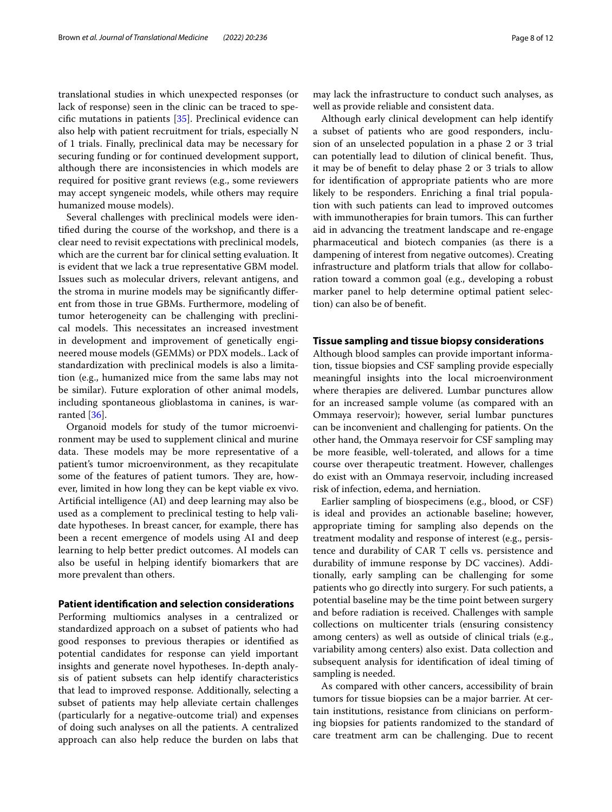translational studies in which unexpected responses (or lack of response) seen in the clinic can be traced to specifc mutations in patients [\[35\]](#page-11-28). Preclinical evidence can also help with patient recruitment for trials, especially N of 1 trials. Finally, preclinical data may be necessary for securing funding or for continued development support, although there are inconsistencies in which models are required for positive grant reviews (e.g., some reviewers may accept syngeneic models, while others may require humanized mouse models).

Several challenges with preclinical models were identifed during the course of the workshop, and there is a clear need to revisit expectations with preclinical models, which are the current bar for clinical setting evaluation. It is evident that we lack a true representative GBM model. Issues such as molecular drivers, relevant antigens, and the stroma in murine models may be signifcantly diferent from those in true GBMs. Furthermore, modeling of tumor heterogeneity can be challenging with preclinical models. This necessitates an increased investment in development and improvement of genetically engineered mouse models (GEMMs) or PDX models.. Lack of standardization with preclinical models is also a limitation (e.g., humanized mice from the same labs may not be similar). Future exploration of other animal models, including spontaneous glioblastoma in canines, is warranted [[36\]](#page-11-29).

Organoid models for study of the tumor microenvironment may be used to supplement clinical and murine data. These models may be more representative of a patient's tumor microenvironment, as they recapitulate some of the features of patient tumors. They are, however, limited in how long they can be kept viable ex vivo. Artifcial intelligence (AI) and deep learning may also be used as a complement to preclinical testing to help validate hypotheses. In breast cancer, for example, there has been a recent emergence of models using AI and deep learning to help better predict outcomes. AI models can also be useful in helping identify biomarkers that are more prevalent than others.

#### **Patient identifcation and selection considerations**

Performing multiomics analyses in a centralized or standardized approach on a subset of patients who had good responses to previous therapies or identifed as potential candidates for response can yield important insights and generate novel hypotheses. In-depth analysis of patient subsets can help identify characteristics that lead to improved response. Additionally, selecting a subset of patients may help alleviate certain challenges (particularly for a negative-outcome trial) and expenses of doing such analyses on all the patients. A centralized approach can also help reduce the burden on labs that well as provide reliable and consistent data. Although early clinical development can help identify a subset of patients who are good responders, inclusion of an unselected population in a phase 2 or 3 trial can potentially lead to dilution of clinical benefit. Thus, it may be of beneft to delay phase 2 or 3 trials to allow for identifcation of appropriate patients who are more likely to be responders. Enriching a final trial population with such patients can lead to improved outcomes with immunotherapies for brain tumors. This can further aid in advancing the treatment landscape and re-engage pharmaceutical and biotech companies (as there is a dampening of interest from negative outcomes). Creating infrastructure and platform trials that allow for collaboration toward a common goal (e.g., developing a robust marker panel to help determine optimal patient selection) can also be of beneft.

## **Tissue sampling and tissue biopsy considerations**

Although blood samples can provide important information, tissue biopsies and CSF sampling provide especially meaningful insights into the local microenvironment where therapies are delivered. Lumbar punctures allow for an increased sample volume (as compared with an Ommaya reservoir); however, serial lumbar punctures can be inconvenient and challenging for patients. On the other hand, the Ommaya reservoir for CSF sampling may be more feasible, well-tolerated, and allows for a time course over therapeutic treatment. However, challenges do exist with an Ommaya reservoir, including increased risk of infection, edema, and herniation.

Earlier sampling of biospecimens (e.g., blood, or CSF) is ideal and provides an actionable baseline; however, appropriate timing for sampling also depends on the treatment modality and response of interest (e.g., persistence and durability of CAR T cells vs. persistence and durability of immune response by DC vaccines). Additionally, early sampling can be challenging for some patients who go directly into surgery. For such patients, a potential baseline may be the time point between surgery and before radiation is received. Challenges with sample collections on multicenter trials (ensuring consistency among centers) as well as outside of clinical trials (e.g., variability among centers) also exist. Data collection and subsequent analysis for identifcation of ideal timing of sampling is needed.

As compared with other cancers, accessibility of brain tumors for tissue biopsies can be a major barrier. At certain institutions, resistance from clinicians on performing biopsies for patients randomized to the standard of care treatment arm can be challenging. Due to recent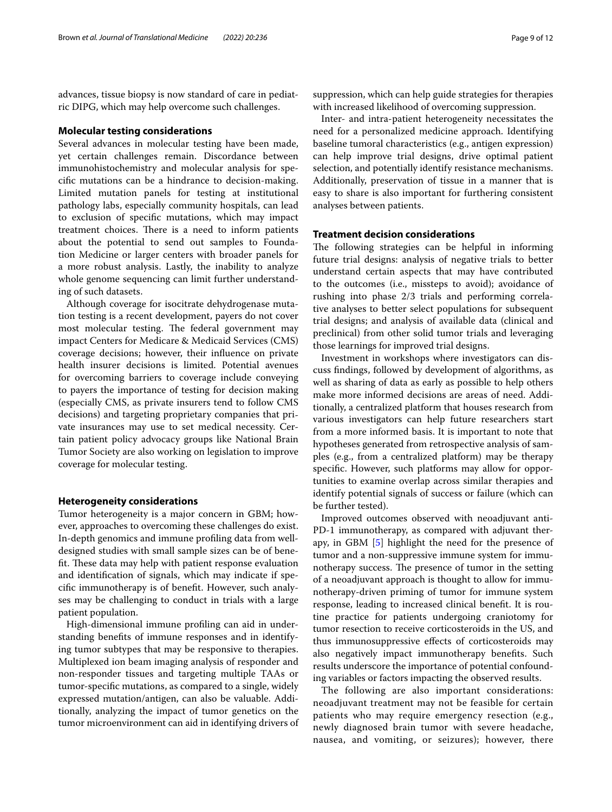advances, tissue biopsy is now standard of care in pediatric DIPG, which may help overcome such challenges.

### **Molecular testing considerations**

Several advances in molecular testing have been made, yet certain challenges remain. Discordance between immunohistochemistry and molecular analysis for specifc mutations can be a hindrance to decision-making. Limited mutation panels for testing at institutional pathology labs, especially community hospitals, can lead to exclusion of specifc mutations, which may impact treatment choices. There is a need to inform patients about the potential to send out samples to Foundation Medicine or larger centers with broader panels for a more robust analysis. Lastly, the inability to analyze whole genome sequencing can limit further understanding of such datasets.

Although coverage for isocitrate dehydrogenase mutation testing is a recent development, payers do not cover most molecular testing. The federal government may impact Centers for Medicare & Medicaid Services (CMS) coverage decisions; however, their infuence on private health insurer decisions is limited. Potential avenues for overcoming barriers to coverage include conveying to payers the importance of testing for decision making (especially CMS, as private insurers tend to follow CMS decisions) and targeting proprietary companies that private insurances may use to set medical necessity. Certain patient policy advocacy groups like National Brain Tumor Society are also working on legislation to improve coverage for molecular testing.

### **Heterogeneity considerations**

Tumor heterogeneity is a major concern in GBM; however, approaches to overcoming these challenges do exist. In-depth genomics and immune profling data from welldesigned studies with small sample sizes can be of benefit. These data may help with patient response evaluation and identifcation of signals, which may indicate if specifc immunotherapy is of beneft. However, such analyses may be challenging to conduct in trials with a large patient population.

High-dimensional immune profling can aid in understanding benefts of immune responses and in identifying tumor subtypes that may be responsive to therapies. Multiplexed ion beam imaging analysis of responder and non-responder tissues and targeting multiple TAAs or tumor-specifc mutations, as compared to a single, widely expressed mutation/antigen, can also be valuable. Additionally, analyzing the impact of tumor genetics on the tumor microenvironment can aid in identifying drivers of suppression, which can help guide strategies for therapies with increased likelihood of overcoming suppression.

Inter- and intra-patient heterogeneity necessitates the need for a personalized medicine approach. Identifying baseline tumoral characteristics (e.g., antigen expression) can help improve trial designs, drive optimal patient selection, and potentially identify resistance mechanisms. Additionally, preservation of tissue in a manner that is easy to share is also important for furthering consistent analyses between patients.

## **Treatment decision considerations**

The following strategies can be helpful in informing future trial designs: analysis of negative trials to better understand certain aspects that may have contributed to the outcomes (i.e., missteps to avoid); avoidance of rushing into phase 2/3 trials and performing correlative analyses to better select populations for subsequent trial designs; and analysis of available data (clinical and preclinical) from other solid tumor trials and leveraging those learnings for improved trial designs.

Investment in workshops where investigators can discuss fndings, followed by development of algorithms, as well as sharing of data as early as possible to help others make more informed decisions are areas of need. Additionally, a centralized platform that houses research from various investigators can help future researchers start from a more informed basis. It is important to note that hypotheses generated from retrospective analysis of samples (e.g., from a centralized platform) may be therapy specifc. However, such platforms may allow for opportunities to examine overlap across similar therapies and identify potential signals of success or failure (which can be further tested).

Improved outcomes observed with neoadjuvant anti-PD-1 immunotherapy, as compared with adjuvant therapy, in GBM [[5](#page-11-30)] highlight the need for the presence of tumor and a non-suppressive immune system for immunotherapy success. The presence of tumor in the setting of a neoadjuvant approach is thought to allow for immunotherapy-driven priming of tumor for immune system response, leading to increased clinical beneft. It is routine practice for patients undergoing craniotomy for tumor resection to receive corticosteroids in the US, and thus immunosuppressive efects of corticosteroids may also negatively impact immunotherapy benefts. Such results underscore the importance of potential confounding variables or factors impacting the observed results.

The following are also important considerations: neoadjuvant treatment may not be feasible for certain patients who may require emergency resection (e.g., newly diagnosed brain tumor with severe headache, nausea, and vomiting, or seizures); however, there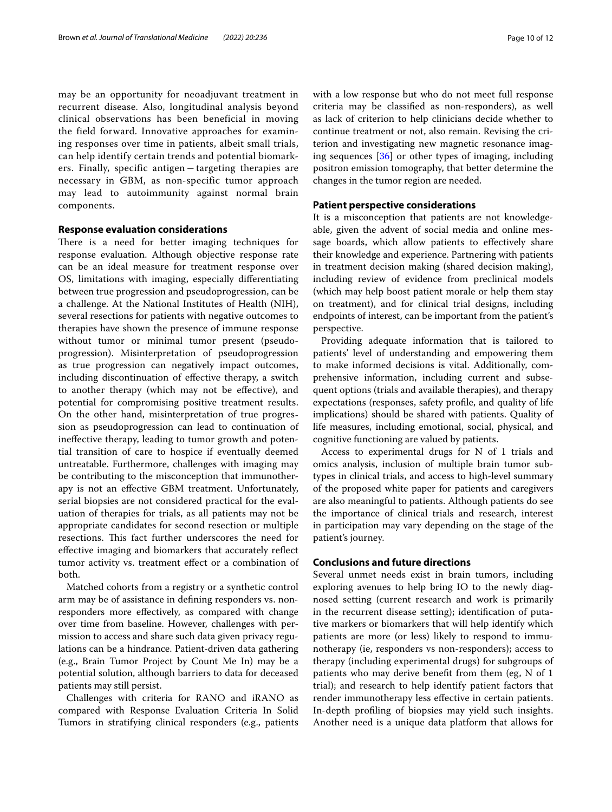may be an opportunity for neoadjuvant treatment in recurrent disease. Also, longitudinal analysis beyond clinical observations has been beneficial in moving the field forward. Innovative approaches for examining responses over time in patients, albeit small trials, can help identify certain trends and potential biomarkers. Finally, specific antigen – targeting therapies are necessary in GBM, as non-specific tumor approach may lead to autoimmunity against normal brain components.

## **Response evaluation considerations**

There is a need for better imaging techniques for response evaluation. Although objective response rate can be an ideal measure for treatment response over OS, limitations with imaging, especially diferentiating between true progression and pseudoprogression, can be a challenge. At the National Institutes of Health (NIH), several resections for patients with negative outcomes to therapies have shown the presence of immune response without tumor or minimal tumor present (pseudoprogression). Misinterpretation of pseudoprogression as true progression can negatively impact outcomes, including discontinuation of efective therapy, a switch to another therapy (which may not be efective), and potential for compromising positive treatment results. On the other hand, misinterpretation of true progression as pseudoprogression can lead to continuation of inefective therapy, leading to tumor growth and potential transition of care to hospice if eventually deemed untreatable. Furthermore, challenges with imaging may be contributing to the misconception that immunotherapy is not an efective GBM treatment. Unfortunately, serial biopsies are not considered practical for the evaluation of therapies for trials, as all patients may not be appropriate candidates for second resection or multiple resections. This fact further underscores the need for efective imaging and biomarkers that accurately refect tumor activity vs. treatment efect or a combination of both.

Matched cohorts from a registry or a synthetic control arm may be of assistance in defning responders vs. nonresponders more efectively, as compared with change over time from baseline. However, challenges with permission to access and share such data given privacy regulations can be a hindrance. Patient-driven data gathering (e.g., Brain Tumor Project by Count Me In) may be a potential solution, although barriers to data for deceased patients may still persist.

Challenges with criteria for RANO and iRANO as compared with Response Evaluation Criteria In Solid Tumors in stratifying clinical responders (e.g., patients with a low response but who do not meet full response criteria may be classifed as non-responders), as well as lack of criterion to help clinicians decide whether to continue treatment or not, also remain. Revising the criterion and investigating new magnetic resonance imaging sequences [[36](#page-11-29)] or other types of imaging, including positron emission tomography, that better determine the changes in the tumor region are needed.

## **Patient perspective considerations**

It is a misconception that patients are not knowledgeable, given the advent of social media and online message boards, which allow patients to efectively share their knowledge and experience. Partnering with patients in treatment decision making (shared decision making), including review of evidence from preclinical models (which may help boost patient morale or help them stay on treatment), and for clinical trial designs, including endpoints of interest, can be important from the patient's perspective.

Providing adequate information that is tailored to patients' level of understanding and empowering them to make informed decisions is vital. Additionally, comprehensive information, including current and subsequent options (trials and available therapies), and therapy expectations (responses, safety profle, and quality of life implications) should be shared with patients. Quality of life measures, including emotional, social, physical, and cognitive functioning are valued by patients.

Access to experimental drugs for N of 1 trials and omics analysis, inclusion of multiple brain tumor subtypes in clinical trials, and access to high-level summary of the proposed white paper for patients and caregivers are also meaningful to patients. Although patients do see the importance of clinical trials and research, interest in participation may vary depending on the stage of the patient's journey.

## **Conclusions and future directions**

Several unmet needs exist in brain tumors, including exploring avenues to help bring IO to the newly diagnosed setting (current research and work is primarily in the recurrent disease setting); identifcation of putative markers or biomarkers that will help identify which patients are more (or less) likely to respond to immunotherapy (ie, responders vs non-responders); access to therapy (including experimental drugs) for subgroups of patients who may derive beneft from them (eg, N of 1 trial); and research to help identify patient factors that render immunotherapy less efective in certain patients. In-depth profling of biopsies may yield such insights. Another need is a unique data platform that allows for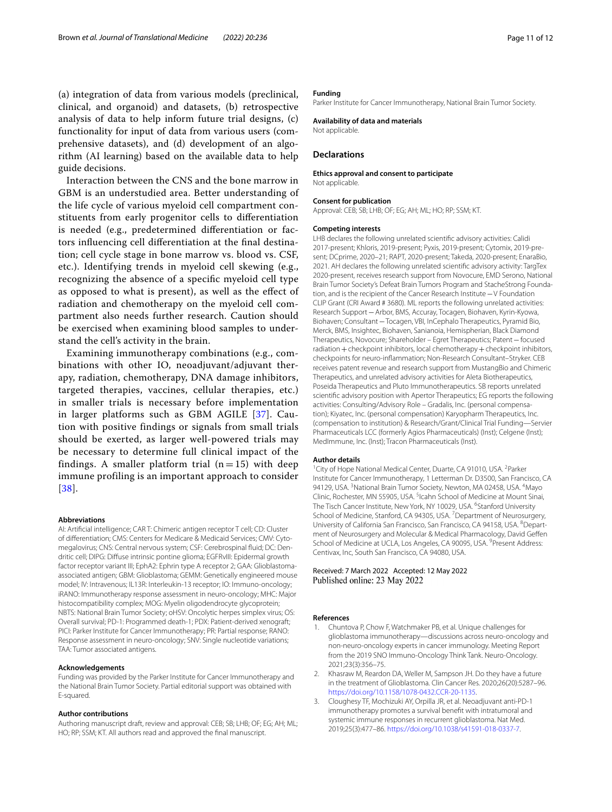(a) integration of data from various models (preclinical, clinical, and organoid) and datasets, (b) retrospective analysis of data to help inform future trial designs, (c) functionality for input of data from various users (comprehensive datasets), and (d) development of an algorithm (AI learning) based on the available data to help guide decisions.

Interaction between the CNS and the bone marrow in GBM is an understudied area. Better understanding of the life cycle of various myeloid cell compartment constituents from early progenitor cells to diferentiation is needed (e.g., predetermined diferentiation or factors infuencing cell diferentiation at the fnal destination; cell cycle stage in bone marrow vs. blood vs. CSF, etc.). Identifying trends in myeloid cell skewing (e.g., recognizing the absence of a specifc myeloid cell type as opposed to what is present), as well as the efect of radiation and chemotherapy on the myeloid cell compartment also needs further research. Caution should be exercised when examining blood samples to understand the cell's activity in the brain.

Examining immunotherapy combinations (e.g., combinations with other IO, neoadjuvant/adjuvant therapy, radiation, chemotherapy, DNA damage inhibitors, targeted therapies, vaccines, cellular therapies, etc.) in smaller trials is necessary before implementation in larger platforms such as GBM AGILE [[37](#page-11-31)]. Caution with positive findings or signals from small trials should be exerted, as larger well-powered trials may be necessary to determine full clinical impact of the findings. A smaller platform trial  $(n=15)$  with deep immune profiling is an important approach to consider [[38](#page-11-32)].

#### **Abbreviations**

AI: Artifcial intelligence; CAR T: Chimeric antigen receptor T cell; CD: Cluster of diferentiation; CMS: Centers for Medicare & Medicaid Services; CMV: Cytomegalovirus; CNS: Central nervous system; CSF: Cerebrospinal fuid; DC: Dendritic cell; DIPG: Difuse intrinsic pontine glioma; EGFRvIII: Epidermal growth factor receptor variant III; EphA2: Ephrin type A receptor 2; GAA: Glioblastomaassociated antigen; GBM: Glioblastoma; GEMM: Genetically engineered mouse model; IV: Intravenous; IL13R: Interleukin-13 receptor; IO: Immuno-oncology; iRANO: Immunotherapy response assessment in neuro-oncology; MHC: Major histocompatibility complex; MOG: Myelin oligodendrocyte glycoprotein; NBTS: National Brain Tumor Society; oHSV: Oncolytic herpes simplex virus; OS: Overall survival; PD-1: Programmed death-1; PDX: Patient-derived xenograft; PICI: Parker Institute for Cancer Immunotherapy; PR: Partial response; RANO: Response assessment in neuro-oncology; SNV: Single nucleotide variations; TAA: Tumor associated antigens.

#### **Acknowledgements**

Funding was provided by the Parker Institute for Cancer Immunotherapy and the National Brain Tumor Society. Partial editorial support was obtained with E-squared.

#### **Author contributions**

Authoring manuscript draft, review and approval: CEB; SB; LHB; OF; EG; AH; ML; HO; RP; SSM; KT. All authors read and approved the fnal manuscript.

#### **Funding**

Parker Institute for Cancer Immunotherapy, National Brain Tumor Society.

**Availability of data and materials** Not applicable.

#### **Declarations**

#### **Ethics approval and consent to participate** Not applicable.

**Consent for publication** Approval: CEB; SB; LHB; OF; EG; AH; ML; HO; RP; SSM; KT.

#### **Competing interests**

LHB declares the following unrelated scientifc advisory activities: Calidi 2017-present; Khloris, 2019-present; Pyxis, 2019-present; Cytomix, 2019-present; DCprime, 2020–21; RAPT, 2020-present; Takeda, 2020-present; EnaraBio, 2021. AH declares the following unrelated scientifc advisory activity: TargTex 2020-present, receives research support from Novocure, EMD Serono, National Brain Tumor Society's Defeat Brain Tumors Program and StacheStrong Foundation, and is the recipient of the Cancer Research Institute−V Foundation CLIP Grant (CRI Award # 3680). ML reports the following unrelated activities: Research Support−Arbor, BMS, Accuray, Tocagen, Biohaven, Kyrin-Kyowa, Biohaven; Consultant−Tocagen, VBI, InCephalo Therapeutics, Pyramid Bio, Merck, BMS, Insightec, Biohaven, Sanianoia, Hemispherian, Black Diamond Therapeutics, Novocure; Shareholder – Egret Therapeutics; Patent−focused radiation + checkpoint inhibitors, local chemotherapy + checkpoint inhibitors, checkpoints for neuro-infammation; Non-Research Consultant–Stryker. CEB receives patent revenue and research support from MustangBio and Chimeric Therapeutics, and unrelated advisory activities for Aleta Biotherapeutics, Poseida Therapeutics and Pluto Immunotherapeutics. SB reports unrelated scientifc advisory position with Apertor Therapeutics; EG reports the following activities: Consulting/Advisory Role – Gradalis, Inc. (personal compensation); Kiyatec, Inc. (personal compensation) Karyopharm Therapeutics, Inc. (compensation to institution) & Research/Grant/Clinical Trial Funding—Servier Pharmaceuticals LCC (formerly Agios Pharmaceuticals) (Inst); Celgene (Inst); MedImmune, Inc. (Inst); Tracon Pharmaceuticals (Inst).

#### **Author details**

<sup>1</sup> City of Hope National Medical Center, Duarte, CA 91010, USA. <sup>2</sup> Parker Institute for Cancer Immunotherapy, 1 Letterman Dr. D3500, San Francisco, CA 94129, USA. <sup>3</sup> National Brain Tumor Society, Newton, MA 02458, USA. <sup>4</sup> Mayo Clinic, Rochester, MN 55905, USA.<sup>5</sup> Icahn School of Medicine at Mount Sinai, The Tisch Cancer Institute, New York, NY 10029, USA. <sup>6</sup>Stanford University School of Medicine, Stanford, CA 94305, USA.<sup>7</sup> Department of Neurosurgery, University of California San Francisco, San Francisco, CA 94158, USA. <sup>8</sup> Department of Neurosurgery and Molecular & Medical Pharmacology, David Gefen School of Medicine at UCLA, Los Angeles, CA 90095, USA. <sup>9</sup> Present Address: Centivax, Inc, South San Francisco, CA 94080, USA.

## Received: 7 March 2022 Accepted: 12 May 2022 Published online: 23 May 2022

#### **References**

- <span id="page-10-0"></span>1. Chuntova P, Chow F, Watchmaker PB, et al. Unique challenges for glioblastoma immunotherapy—discussions across neuro-oncology and non-neuro-oncology experts in cancer immunology. Meeting Report from the 2019 SNO Immuno-Oncology Think Tank. Neuro-Oncology. 2021;23(3):356–75.
- <span id="page-10-1"></span>2. Khasraw M, Reardon DA, Weller M, Sampson JH. Do they have a future in the treatment of Glioblastoma. Clin Cancer Res. 2020;26(20):5287–96. <https://doi.org/10.1158/1078-0432.CCR-20-1135>.
- <span id="page-10-2"></span>3. Cloughesy TF, Mochizuki AY, Orpilla JR, et al. Neoadjuvant anti-PD-1 immunotherapy promotes a survival beneft with intratumoral and systemic immune responses in recurrent glioblastoma. Nat Med. 2019;25(3):477–86. [https://doi.org/10.1038/s41591-018-0337-7.](https://doi.org/10.1038/s41591-018-0337-7)